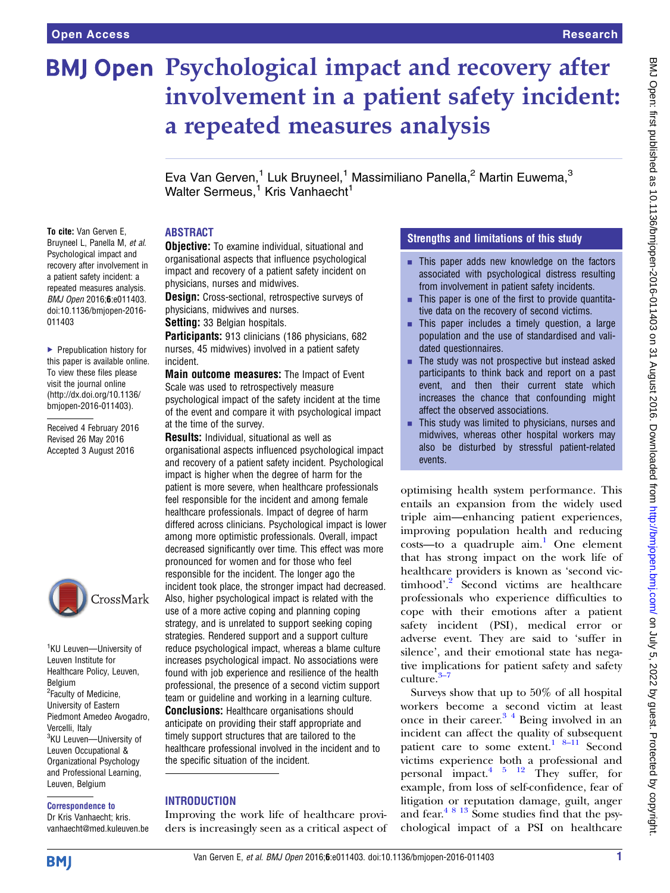# **BMJ Open Psychological impact and recovery after** involvement in a patient safety incident: a repeated measures analysis

Eva Van Gerven,<sup>1</sup> Luk Bruyneel,<sup>1</sup> Massimiliano Panella,<sup>2</sup> Martin Euwema,<sup>3</sup> Walter Sermeus,<sup>1</sup> Kris Vanhaecht<sup>1</sup>

## ABSTRACT

To cite: Van Gerven E, Bruyneel L, Panella M, et al. Psychological impact and recovery after involvement in a patient safety incident: a repeated measures analysis. BMJ Open 2016;6:e011403. doi:10.1136/bmjopen-2016- 011403

▶ Prepublication history for this paper is available online. To view these files please visit the journal online [\(http://dx.doi.org/10.1136/](http://dx.doi.org/10.1136/bmjopen-2016-011403) [bmjopen-2016-011403](http://dx.doi.org/10.1136/bmjopen-2016-011403)).

Received 4 February 2016 Revised 26 May 2016 Accepted 3 August 2016



<sup>1</sup>KU Leuven-University of Leuven Institute for Healthcare Policy, Leuven, Belgium <sup>2</sup> Faculty of Medicine, University of Eastern Piedmont Amedeo Avogadro, Vercelli, Italy <sup>3</sup>KU Leuven—University of Leuven Occupational & Organizational Psychology and Professional Learning, Leuven, Belgium

#### Correspondence to

Dr Kris Vanhaecht; kris. vanhaecht@med.kuleuven.be **Objective:** To examine individual, situational and organisational aspects that influence psychological impact and recovery of a patient safety incident on physicians, nurses and midwives.

**Design:** Cross-sectional, retrospective surveys of physicians, midwives and nurses.

Setting: 33 Belgian hospitals.

Participants: 913 clinicians (186 physicians, 682 nurses, 45 midwives) involved in a patient safety incident.

**Main outcome measures:** The Impact of Event Scale was used to retrospectively measure psychological impact of the safety incident at the time of the event and compare it with psychological impact at the time of the survey.

Results: Individual, situational as well as organisational aspects influenced psychological impact and recovery of a patient safety incident. Psychological impact is higher when the degree of harm for the patient is more severe, when healthcare professionals feel responsible for the incident and among female healthcare professionals. Impact of degree of harm differed across clinicians. Psychological impact is lower among more optimistic professionals. Overall, impact decreased significantly over time. This effect was more pronounced for women and for those who feel responsible for the incident. The longer ago the incident took place, the stronger impact had decreased. Also, higher psychological impact is related with the use of a more active coping and planning coping strategy, and is unrelated to support seeking coping strategies. Rendered support and a support culture reduce psychological impact, whereas a blame culture increases psychological impact. No associations were found with job experience and resilience of the health professional, the presence of a second victim support team or guideline and working in a learning culture. **Conclusions:** Healthcare organisations should anticipate on providing their staff appropriate and timely support structures that are tailored to the healthcare professional involved in the incident and to the specific situation of the incident.

## INTRODUCTION

Improving the work life of healthcare providers is increasingly seen as a critical aspect of

## Strengths and limitations of this study

- $\blacksquare$  This paper adds new knowledge on the factors associated with psychological distress resulting from involvement in patient safety incidents.
- **EXTERCH** This paper is one of the first to provide quantitative data on the recovery of second victims.
- $\blacksquare$  This paper includes a timely question, a large population and the use of standardised and validated questionnaires.
- $\blacksquare$  The study was not prospective but instead asked participants to think back and report on a past event, and then their current state which increases the chance that confounding might affect the observed associations.
- This study was limited to physicians, nurses and midwives, whereas other hospital workers may also be disturbed by stressful patient-related events.

optimising health system performance. This entails an expansion from the widely used triple aim—enhancing patient experiences, improving population health and reducing  $costs$ —to a quadruple  $aim.$ <sup>1</sup> One element that has strong impact on the work life of healthcare providers is known as 'second vic-timhood'.<sup>[2](#page-8-0)</sup> Second victims are healthcare professionals who experience difficulties to cope with their emotions after a patient safety incident (PSI), medical error or adverse event. They are said to 'suffer in silence', and their emotional state has negative im[plic](#page-8-0)ations for patient safety and safety culture. $3-7$ 

Surveys show that up to 50% of all hospital workers become a second victim at least once in their career.[3 4](#page-8-0) Being involved in an incident can affect the quality of subsequent patient care to some extent.<sup>[1](#page-8-0)</sup> <sup>8–[11](#page-8-0)</sup> Second victims experience both a professional and personal impact.<sup>[4 5 12](#page-8-0)</sup> They suffer, for example, from loss of self-confidence, fear of litigation or reputation damage, guilt, anger and fear. $4 \times 13$  Some studies find that the psychological impact of a PSI on healthcare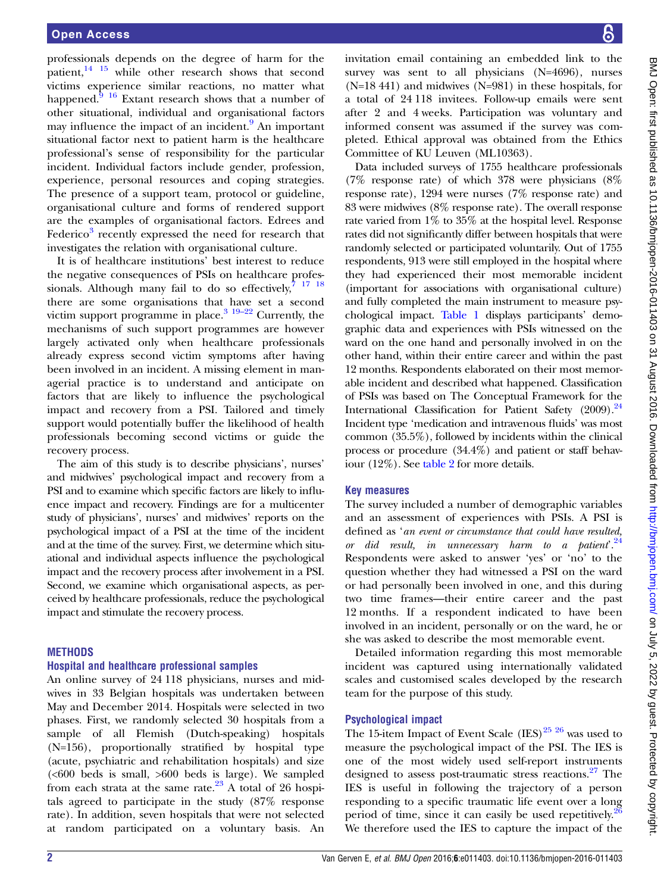professionals depends on the degree of harm for the patient, $14 \t15$  while other research shows that second victims experience similar reactions, no matter what happened. $\frac{9}{16}$  Extant research shows that a number of other situational, individual and organisational factors may influence the impact of an incident.<sup>[9](#page-8-0)</sup> An important situational factor next to patient harm is the healthcare professional's sense of responsibility for the particular incident. Individual factors include gender, profession, experience, personal resources and coping strategies. The presence of a support team, protocol or guideline, organisational culture and forms of rendered support are the examples of organisational factors. Edrees and Federico $3$  recently expressed the need for research that investigates the relation with organisational culture.

It is of healthcare institutions' best interest to reduce the negative consequences of PSIs on healthcare professionals. Although many fail to do so effectively,  $7^{7}$  17 18 there are some organisations that have set a second victim support programme in place. $3^{3}$  19–22 Currently, the mechanisms of such support programmes are however largely activated only when healthcare professionals already express second victim symptoms after having been involved in an incident. A missing element in managerial practice is to understand and anticipate on factors that are likely to influence the psychological impact and recovery from a PSI. Tailored and timely support would potentially buffer the likelihood of health professionals becoming second victims or guide the recovery process.

The aim of this study is to describe physicians', nurses' and midwives' psychological impact and recovery from a PSI and to examine which specific factors are likely to influence impact and recovery. Findings are for a multicenter study of physicians', nurses' and midwives' reports on the psychological impact of a PSI at the time of the incident and at the time of the survey. First, we determine which situational and individual aspects influence the psychological impact and the recovery process after involvement in a PSI. Second, we examine which organisational aspects, as perceived by healthcare professionals, reduce the psychological impact and stimulate the recovery process.

#### **METHODS**

#### Hospital and healthcare professional samples

An online survey of 24 118 physicians, nurses and midwives in 33 Belgian hospitals was undertaken between May and December 2014. Hospitals were selected in two phases. First, we randomly selected 30 hospitals from a sample of all Flemish (Dutch-speaking) hospitals (N=156), proportionally stratified by hospital type (acute, psychiatric and rehabilitation hospitals) and size  $(**600**$  beds is small,  $>600$  beds is large). We sampled from each strata at the same rate. $^{23}$  A total of 26 hospitals agreed to participate in the study (87% response rate). In addition, seven hospitals that were not selected at random participated on a voluntary basis. An

invitation email containing an embedded link to the survey was sent to all physicians (N=4696), nurses (N=18 441) and midwives (N=981) in these hospitals, for a total of 24 118 invitees. Follow-up emails were sent after 2 and 4 weeks. Participation was voluntary and informed consent was assumed if the survey was completed. Ethical approval was obtained from the Ethics Committee of KU Leuven (ML10363).

Data included surveys of 1755 healthcare professionals (7% response rate) of which 378 were physicians (8% response rate), 1294 were nurses (7% response rate) and 83 were midwives (8% response rate). The overall response rate varied from 1% to 35% at the hospital level. Response rates did not significantly differ between hospitals that were randomly selected or participated voluntarily. Out of 1755 respondents, 913 were still employed in the hospital where they had experienced their most memorable incident (important for associations with organisational culture) and fully completed the main instrument to measure psychological impact. [Table 1](#page-2-0) displays participants' demographic data and experiences with PSIs witnessed on the ward on the one hand and personally involved in on the other hand, within their entire career and within the past 12 months. Respondents elaborated on their most memorable incident and described what happened. Classification of PSIs was based on The Conceptual Framework for the International Classification for Patient Safety (2009).<sup>24</sup> Incident type 'medication and intravenous fluids' was most common (35.5%), followed by incidents within the clinical process or procedure (34.4%) and patient or staff behaviour (12%). See [table 2](#page-3-0) for more details.

#### Key measures

The survey included a number of demographic variables and an assessment of experiences with PSIs. A PSI is defined as 'an event or circumstance that could have resulted, or did result, in unnecessary harm to a patient<sup>[24](#page-8-0)</sup> Respondents were asked to answer 'yes' or 'no' to the question whether they had witnessed a PSI on the ward or had personally been involved in one, and this during two time frames—their entire career and the past 12 months. If a respondent indicated to have been involved in an incident, personally or on the ward, he or she was asked to describe the most memorable event.

Detailed information regarding this most memorable incident was captured using internationally validated scales and customised scales developed by the research team for the purpose of this study.

#### Psychological impact

The 15-item Impact of Event Scale  $(IES)^{25\;26}$  was used to measure the psychological impact of the PSI. The IES is one of the most widely used self-report instruments designed to assess post-traumatic stress reactions.<sup>[27](#page-8-0)</sup> The IES is useful in following the trajectory of a person responding to a specific traumatic life event over a long period of time, since it can easily be used repetitively.<sup>[26](#page-8-0)</sup> We therefore used the IES to capture the impact of the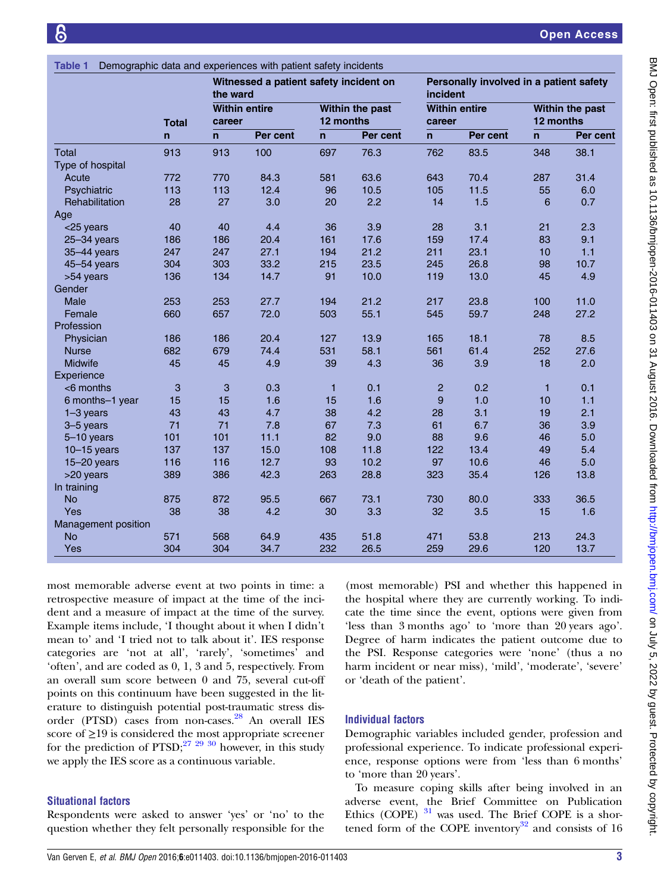<span id="page-2-0"></span>

| $I$ anic I          | <b>Total</b> | the ward                | Definographiic uata anu experiences with patient safety incluents<br>Witnessed a patient safety incident on |              |                 | incident       | Personally involved in a patient safety |           |                 |
|---------------------|--------------|-------------------------|-------------------------------------------------------------------------------------------------------------|--------------|-----------------|----------------|-----------------------------------------|-----------|-----------------|
|                     |              | career                  | <b>Within entire</b>                                                                                        | 12 months    | Within the past | career         | <b>Within entire</b>                    | 12 months | Within the past |
|                     | $\mathsf{n}$ | $\overline{\mathsf{n}}$ | Per cent                                                                                                    | $\mathsf{n}$ | Per cent        | $\mathsf{n}$   | Per cent                                | n         | Per cent        |
| <b>Total</b>        | 913          | 913                     | 100                                                                                                         | 697          | 76.3            | 762            | 83.5                                    | 348       | 38.1            |
| Type of hospital    |              |                         |                                                                                                             |              |                 |                |                                         |           |                 |
| Acute               | 772          | 770                     | 84.3                                                                                                        | 581          | 63.6            | 643            | 70.4                                    | 287       | 31.4            |
| Psychiatric         | 113          | 113                     | 12.4                                                                                                        | 96           | 10.5            | 105            | 11.5                                    | 55        | 6.0             |
| Rehabilitation      | 28           | 27                      | 3.0                                                                                                         | 20           | 2.2             | 14             | 1.5                                     | 6         | 0.7             |
| Age                 |              |                         |                                                                                                             |              |                 |                |                                         |           |                 |
| <25 years           | 40           | 40                      | 4.4                                                                                                         | 36           | 3.9             | 28             | 3.1                                     | 21        | 2.3             |
| 25-34 years         | 186          | 186                     | 20.4                                                                                                        | 161          | 17.6            | 159            | 17.4                                    | 83        | 9.1             |
| 35-44 years         | 247          | 247                     | 27.1                                                                                                        | 194          | 21.2            | 211            | 23.1                                    | 10        | 1.1             |
| 45-54 years         | 304          | 303                     | 33.2                                                                                                        | 215          | 23.5            | 245            | 26.8                                    | 98        | 10.7            |
| >54 years           | 136          | 134                     | 14.7                                                                                                        | 91           | 10.0            | 119            | 13.0                                    | 45        | 4.9             |
| Gender              |              |                         |                                                                                                             |              |                 |                |                                         |           |                 |
| Male                | 253          | 253                     | 27.7                                                                                                        | 194          | 21.2            | 217            | 23.8                                    | 100       | 11.0            |
| Female              | 660          | 657                     | 72.0                                                                                                        | 503          | 55.1            | 545            | 59.7                                    | 248       | 27.2            |
| Profession          |              |                         |                                                                                                             |              |                 |                |                                         |           |                 |
| Physician           | 186          | 186                     | 20.4                                                                                                        | 127          | 13.9            | 165            | 18.1                                    | 78        | 8.5             |
| <b>Nurse</b>        | 682          | 679                     | 74.4                                                                                                        | 531          | 58.1            | 561            | 61.4                                    | 252       | 27.6            |
| Midwife             | 45           | 45                      | 4.9                                                                                                         | 39           | 4.3             | 36             | 3.9                                     | 18        | 2.0             |
| Experience          |              |                         |                                                                                                             |              |                 |                |                                         |           |                 |
| <6 months           | 3            | 3                       | 0.3                                                                                                         | $\mathbf{1}$ | 0.1             | $\overline{c}$ | 0.2                                     | 1         | 0.1             |
| 6 months-1 year     | 15           | 15                      | 1.6                                                                                                         | 15           | 1.6             | 9              | 1.0                                     | 10        | 1.1             |
| $1-3$ years         | 43           | 43                      | 4.7                                                                                                         | 38           | 4.2             | 28             | 3.1                                     | 19        | 2.1             |
| 3-5 years           | 71           | 71                      | 7.8                                                                                                         | 67           | 7.3             | 61             | 6.7                                     | 36        | 3.9             |
| $5-10$ years        | 101          | 101                     | 11.1                                                                                                        | 82           | 9.0             | 88             | 9.6                                     | 46        | 5.0             |
| $10-15$ years       | 137          | 137                     | 15.0                                                                                                        | 108          | 11.8            | 122            | 13.4                                    | 49        | 5.4             |
| 15-20 years         | 116          | 116                     | 12.7                                                                                                        | 93           | 10.2            | 97             | 10.6                                    | 46        | 5.0             |
| >20 years           | 389          | 386                     | 42.3                                                                                                        | 263          | 28.8            | 323            | 35.4                                    | 126       | 13.8            |
| In training         |              |                         |                                                                                                             |              |                 |                |                                         |           |                 |
| <b>No</b>           | 875          | 872                     | 95.5                                                                                                        | 667          | 73.1            | 730            | 80.0                                    | 333       | 36.5            |
| Yes                 | 38           | 38                      | 4.2                                                                                                         | 30           | 3.3             | 32             | 3.5                                     | 15        | 1.6             |
| Management position |              |                         |                                                                                                             |              |                 |                |                                         |           |                 |
| <b>No</b>           | 571          | 568                     | 64.9                                                                                                        | 435          | 51.8            | 471            | 53.8                                    | 213       | 24.3            |
| Yes                 | 304          | 304                     | 34.7                                                                                                        | 232          | 26.5            | 259            | 29.6                                    | 120       | 13.7            |

Table 1 Demographic data and experiences with patient safety incidents

most memorable adverse event at two points in time: a retrospective measure of impact at the time of the incident and a measure of impact at the time of the survey. Example items include, 'I thought about it when I didn't mean to' and 'I tried not to talk about it'. IES response categories are 'not at all', 'rarely', 'sometimes' and 'often', and are coded as 0, 1, 3 and 5, respectively. From an overall sum score between 0 and 75, several cut-off points on this continuum have been suggested in the literature to distinguish potential post-traumatic stress dis-order (PTSD) cases from non-cases.<sup>[28](#page-8-0)</sup> An overall IES score of ≥19 is considered the most appropriate screener for the prediction of  $PTSD;^{27}$  $PTSD;^{27}$  $PTSD;^{27}$  <sup>29</sup> <sup>30</sup> however, in this study we apply the IES score as a continuous variable.

## Situational factors

Respondents were asked to answer 'yes' or 'no' to the question whether they felt personally responsible for the

(most memorable) PSI and whether this happened in the hospital where they are currently working. To indicate the time since the event, options were given from 'less than 3 months ago' to 'more than 20 years ago'. Degree of harm indicates the patient outcome due to the PSI. Response categories were 'none' (thus a no harm incident or near miss), 'mild', 'moderate', 'severe' or 'death of the patient'.

## Individual factors

Demographic variables included gender, profession and professional experience. To indicate professional experience, response options were from 'less than 6 months' to 'more than 20 years'.

To measure coping skills after being involved in an adverse event, the Brief Committee on Publication Ethics (COPE)  $31$  was used. The Brief COPE is a shortened form of the COPE inventory $32$  and consists of 16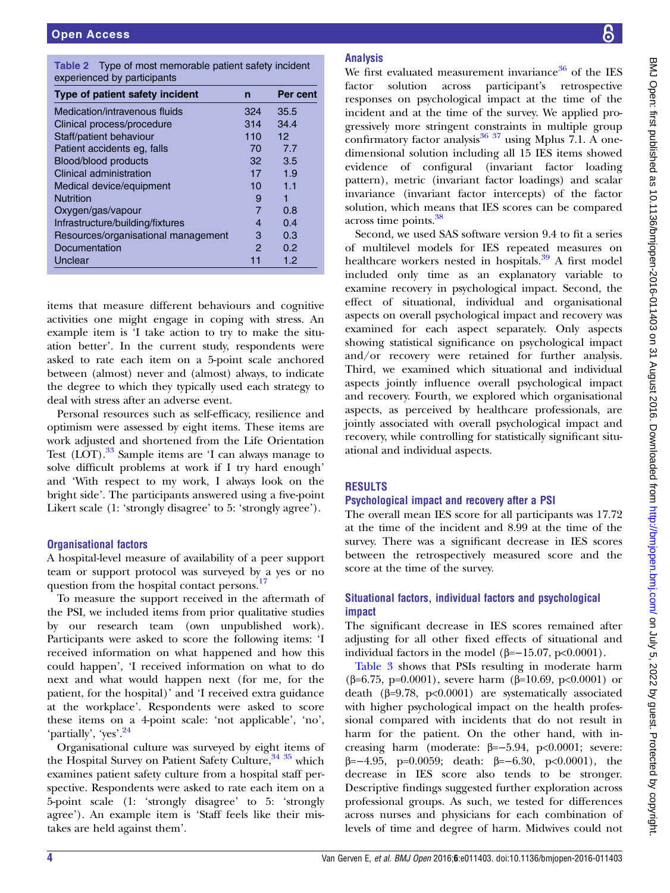<span id="page-3-0"></span>

| <b>Table 2</b> Type of most memorable patient safety incident |
|---------------------------------------------------------------|
| experienced by participants                                   |

| Type of patient safety incident     | n   | Per cent |
|-------------------------------------|-----|----------|
| Medication/intravenous fluids       | 324 | 35.5     |
| Clinical process/procedure          | 314 | 34.4     |
| Staff/patient behaviour             | 110 | 12       |
| Patient accidents eg, falls         | 70  | 7.7      |
| Blood/blood products                | 32  | 3.5      |
| Clinical administration             | 17  | 1.9      |
| Medical device/equipment            | 10  | 1.1      |
| <b>Nutrition</b>                    | 9   | 1        |
| Oxygen/gas/vapour                   |     | 0.8      |
| Infrastructure/building/fixtures    | 4   | 0.4      |
| Resources/organisational management | 3   | 0.3      |
| Documentation                       | 2   | 0.2      |
| Unclear                             | 11  | 1.2      |

items that measure different behaviours and cognitive activities one might engage in coping with stress. An example item is 'I take action to try to make the situation better'. In the current study, respondents were asked to rate each item on a 5-point scale anchored between (almost) never and (almost) always, to indicate the degree to which they typically used each strategy to deal with stress after an adverse event.

Personal resources such as self-efficacy, resilience and optimism were assessed by eight items. These items are work adjusted and shortened from the Life Orientation Test  $(LOT)$ .<sup>[33](#page-9-0)</sup> Sample items are 'I can always manage to solve difficult problems at work if I try hard enough' and 'With respect to my work, I always look on the bright side'. The participants answered using a five-point Likert scale (1: 'strongly disagree' to 5: 'strongly agree').

## Organisational factors

A hospital-level measure of availability of a peer support team or support protocol was surveyed by a yes or no question from the hospital contact persons.<sup>[17](#page-8-0)</sup>

To measure the support received in the aftermath of the PSI, we included items from prior qualitative studies by our research team (own unpublished work). Participants were asked to score the following items: 'I received information on what happened and how this could happen', 'I received information on what to do next and what would happen next (for me, for the patient, for the hospital)' and 'I received extra guidance at the workplace'. Respondents were asked to score these items on a 4-point scale: 'not applicable', 'no', 'partially', 'yes'.<sup>[24](#page-8-0)</sup>

Organisational culture was surveyed by eight items of the Hospital Survey on Patient Safety Culture,  $34\frac{35}{10}$  which examines patient safety culture from a hospital staff perspective. Respondents were asked to rate each item on a 5-point scale (1: 'strongly disagree' to 5: 'strongly agree'). An example item is 'Staff feels like their mistakes are held against them'.

# Analysis

We first evaluated measurement invariance<sup>[36](#page-9-0)</sup> of the IES factor solution across participant's retrospective responses on psychological impact at the time of the incident and at the time of the survey. We applied progressively more stringent constraints in multiple group confirmatory factor analysis $36 \frac{37}{10}$  using Mplus 7.1. A onedimensional solution including all 15 IES items showed evidence of configural (invariant factor loading pattern), metric (invariant factor loadings) and scalar invariance (invariant factor intercepts) of the factor solution, which means that IES scores can be compared across time points.[38](#page-9-0)

Second, we used SAS software version 9.4 to fit a series of multilevel models for IES repeated measures on healthcare workers nested in hospitals.<sup>[39](#page-9-0)</sup> A first model included only time as an explanatory variable to examine recovery in psychological impact. Second, the effect of situational, individual and organisational aspects on overall psychological impact and recovery was examined for each aspect separately. Only aspects showing statistical significance on psychological impact and/or recovery were retained for further analysis. Third, we examined which situational and individual aspects jointly influence overall psychological impact and recovery. Fourth, we explored which organisational aspects, as perceived by healthcare professionals, are jointly associated with overall psychological impact and recovery, while controlling for statistically significant situational and individual aspects.

# RESULTS

# Psychological impact and recovery after a PSI

The overall mean IES score for all participants was 17.72 at the time of the incident and 8.99 at the time of the survey. There was a significant decrease in IES scores between the retrospectively measured score and the score at the time of the survey.

# Situational factors, individual factors and psychological impact

The significant decrease in IES scores remained after adjusting for all other fixed effects of situational and individual factors in the model (β= $-15.07$ , p<0.0001).

[Table 3](#page-4-0) shows that PSIs resulting in moderate harm (β=6.75, p=0.0001), severe harm (β=10.69, p<0.0001) or death (β=9.78, p<0.0001) are systematically associated with higher psychological impact on the health professional compared with incidents that do not result in harm for the patient. On the other hand, with increasing harm (moderate:  $β=-5.94$ ,  $p<0.0001$ ; severe: β=−4.95, p=0.0059; death: β=−6.30, p<0.0001), the decrease in IES score also tends to be stronger. Descriptive findings suggested further exploration across professional groups. As such, we tested for differences across nurses and physicians for each combination of levels of time and degree of harm. Midwives could not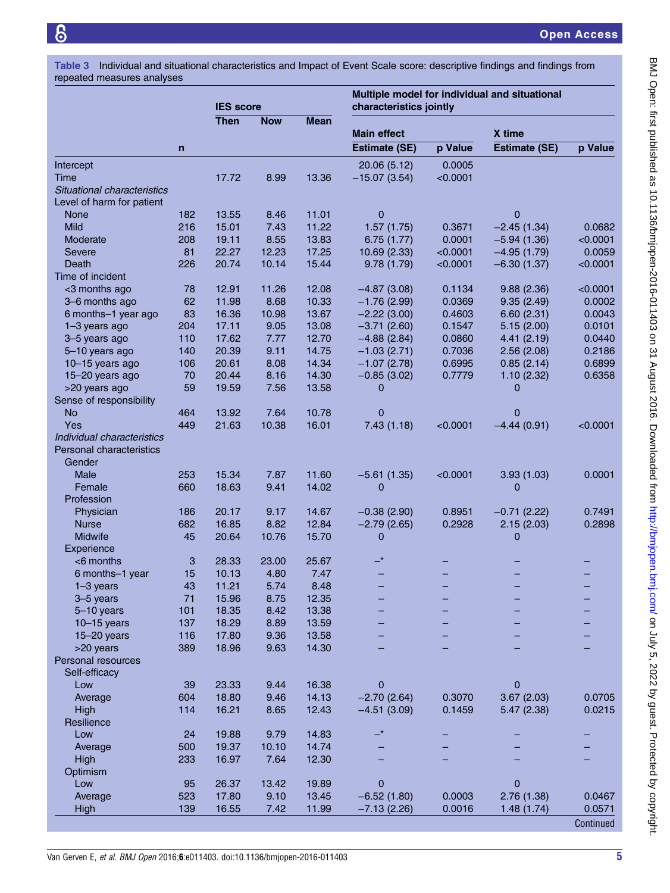<span id="page-4-0"></span>Table 3 Individual and situational characteristics and Impact of Event Scale score: descriptive findings and findings from repeated measures analyses

|                                                                  |              | <b>IES</b> score |            |             | characteristics jointly         |          | Multiple model for individual and situational |           |
|------------------------------------------------------------------|--------------|------------------|------------|-------------|---------------------------------|----------|-----------------------------------------------|-----------|
|                                                                  |              | <b>Then</b>      | <b>Now</b> | <b>Mean</b> | <b>Main effect</b>              |          | X time                                        |           |
|                                                                  | $\mathsf{n}$ |                  |            |             | <b>Estimate (SE)</b>            | p Value  | <b>Estimate (SE)</b>                          | p Value   |
| Intercept                                                        |              |                  |            |             | 20.06 (5.12)                    | 0.0005   |                                               |           |
| <b>Time</b>                                                      |              | 17.72            | 8.99       | 13.36       | $-15.07(3.54)$                  | < 0.0001 |                                               |           |
| Situational characteristics                                      |              |                  |            |             |                                 |          |                                               |           |
| Level of harm for patient                                        |              |                  |            |             |                                 |          |                                               |           |
| None                                                             | 182          | 13.55            | 8.46       | 11.01       | $\mathbf 0$                     |          | $\pmb{0}$                                     |           |
| <b>Mild</b>                                                      | 216          | 15.01            | 7.43       | 11.22       | 1.57(1.75)                      | 0.3671   | $-2.45(1.34)$                                 | 0.0682    |
| Moderate                                                         | 208          | 19.11            | 8.55       | 13.83       | 6.75(1.77)                      | 0.0001   | $-5.94(1.36)$                                 | < 0.0001  |
| Severe                                                           | 81           | 22.27            | 12.23      | 17.25       | 10.69 (2.33)                    | < 0.0001 | $-4.95(1.79)$                                 | 0.0059    |
| Death                                                            | 226          | 20.74            | 10.14      | 15.44       | 9.78(1.79)                      | < 0.0001 | $-6.30(1.37)$                                 | < 0.0001  |
| Time of incident                                                 |              |                  |            |             |                                 |          |                                               |           |
| <3 months ago                                                    | 78           | 12.91            | 11.26      | 12.08       | $-4.87(3.08)$                   | 0.1134   | 9.88(2.36)                                    | < 0.0001  |
| 3-6 months ago                                                   | 62           | 11.98            | 8.68       | 10.33       | $-1.76(2.99)$                   | 0.0369   | 9.35(2.49)                                    | 0.0002    |
| 6 months-1 year ago                                              | 83           | 16.36            | 10.98      | 13.67       | $-2.22(3.00)$                   | 0.4603   | 6.60(2.31)                                    | 0.0043    |
| 1-3 years ago                                                    | 204          | 17.11            | 9.05       | 13.08       | $-3.71(2.60)$                   | 0.1547   | 5.15(2.00)                                    | 0.0101    |
| 3-5 years ago                                                    | 110          | 17.62            | 7.77       | 12.70       | $-4.88(2.84)$                   | 0.0860   | 4.41 (2.19)                                   | 0.0440    |
| 5-10 years ago                                                   | 140          | 20.39            | 9.11       | 14.75       | $-1.03(2.71)$                   | 0.7036   | 2.56(2.08)                                    | 0.2186    |
| 10-15 years ago                                                  | 106          | 20.61            | 8.08       | 14.34       | $-1.07(2.78)$                   | 0.6995   | 0.85(2.14)                                    | 0.6899    |
| 15-20 years ago                                                  | 70           | 20.44            | 8.16       | 14.30       | $-0.85(3.02)$                   | 0.7779   | 1.10(2.32)                                    | 0.6358    |
| >20 years ago                                                    | 59           | 19.59            | 7.56       | 13.58       | 0                               |          | 0                                             |           |
| Sense of responsibility                                          |              |                  |            |             |                                 |          |                                               |           |
| <b>No</b>                                                        | 464          | 13.92            | 7.64       | 10.78       | 0                               |          | 0                                             |           |
| Yes                                                              | 449          | 21.63            | 10.38      | 16.01       | 7.43(1.18)                      | < 0.0001 | $-4.44(0.91)$                                 | < 0.0001  |
| Individual characteristics<br>Personal characteristics<br>Gender |              |                  |            |             |                                 |          |                                               |           |
| <b>Male</b>                                                      | 253          | 15.34            | 7.87       | 11.60       | $-5.61(1.35)$                   | < 0.0001 | 3.93(1.03)                                    | 0.0001    |
| Female                                                           | 660          | 18.63            | 9.41       | 14.02       | 0                               |          | 0                                             |           |
| Profession                                                       |              |                  |            |             |                                 |          |                                               |           |
| Physician                                                        | 186          | 20.17            | 9.17       | 14.67       | $-0.38(2.90)$                   | 0.8951   | $-0.71(2.22)$                                 | 0.7491    |
| <b>Nurse</b>                                                     | 682          | 16.85            | 8.82       | 12.84       | $-2.79(2.65)$                   | 0.2928   | 2.15(2.03)                                    | 0.2898    |
| Midwife                                                          | 45           | 20.64            | 10.76      | 15.70       | 0                               |          | 0                                             |           |
| Experience                                                       |              |                  |            |             |                                 |          |                                               |           |
| <6 months                                                        | 3            | 28.33            | 23.00      | 25.67       | –*                              |          |                                               |           |
| 6 months-1 year                                                  | 15           | 10.13            | 4.80       | 7.47        |                                 |          |                                               |           |
| $1-3$ years                                                      | 43           | 11.21            | 5.74       | 8.48        |                                 |          |                                               |           |
| 3-5 years                                                        | 71           | 15.96            | 8.75       | 12.35       |                                 |          |                                               |           |
| 5-10 years                                                       | 101          | 18.35            | 8.42       | 13.38       |                                 |          |                                               |           |
| $10-15$ years                                                    | 137          | 18.29            | 8.89       | 13.59       |                                 |          |                                               |           |
| $15-20$ years                                                    | 116          | 17.80            | 9.36       | 13.58       |                                 |          |                                               |           |
| >20 years                                                        | 389          | 18.96            | 9.63       | 14.30       |                                 |          |                                               |           |
| Personal resources<br>Self-efficacy                              |              |                  |            |             |                                 |          |                                               |           |
| Low                                                              | 39           | 23.33            | 9.44       | 16.38       | 0                               |          | 0                                             |           |
| Average                                                          | 604          | 18.80            | 9.46       | 14.13       | $-2.70(2.64)$                   | 0.3070   | 3.67(2.03)                                    | 0.0705    |
| High                                                             | 114          | 16.21            | 8.65       | 12.43       | $-4.51(3.09)$                   | 0.1459   | 5.47(2.38)                                    | 0.0215    |
| Resilience                                                       |              |                  |            |             |                                 |          |                                               |           |
| Low                                                              | 24           | 19.88            | 9.79       | 14.83       | $\overline{\phantom{a}}^{\ast}$ |          |                                               |           |
| Average                                                          | 500          | 19.37            | 10.10      | 14.74       |                                 |          |                                               |           |
| High                                                             | 233          | 16.97            | 7.64       | 12.30       |                                 |          |                                               |           |
| Optimism                                                         |              |                  |            |             |                                 |          |                                               |           |
| Low                                                              | 95           | 26.37            | 13.42      | 19.89       | 0                               |          | 0                                             |           |
| Average                                                          | 523          | 17.80            | 9.10       | 13.45       | $-6.52(1.80)$                   | 0.0003   | 2.76(1.38)                                    | 0.0467    |
| High                                                             | 139          | 16.55            | 7.42       | 11.99       | $-7.13(2.26)$                   | 0.0016   | 1.48(1.74)                                    | 0.0571    |
|                                                                  |              |                  |            |             |                                 |          |                                               | Continued |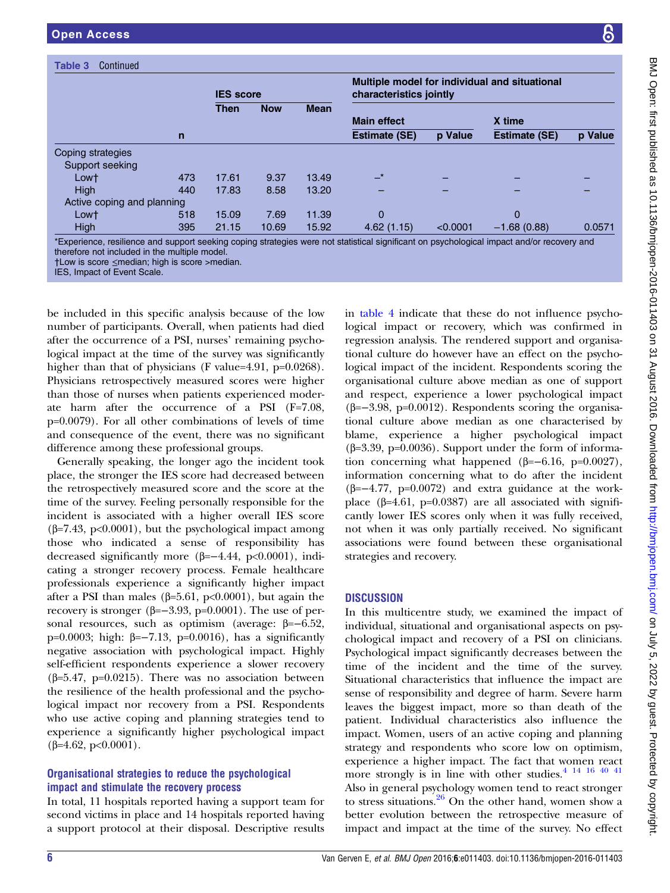Table 3 Continued

|                                                                                                                                                                                                                                                                                            |              | <b>IES</b> score |            |             | characteristics jointly |          | Multiple model for individual and situational                                                                                                                                                                              |         |
|--------------------------------------------------------------------------------------------------------------------------------------------------------------------------------------------------------------------------------------------------------------------------------------------|--------------|------------------|------------|-------------|-------------------------|----------|----------------------------------------------------------------------------------------------------------------------------------------------------------------------------------------------------------------------------|---------|
|                                                                                                                                                                                                                                                                                            |              | <b>Then</b>      | <b>Now</b> | <b>Mean</b> | <b>Main effect</b>      |          | X time                                                                                                                                                                                                                     |         |
|                                                                                                                                                                                                                                                                                            | $\mathsf{n}$ |                  |            |             | <b>Estimate (SE)</b>    | p Value  | <b>Estimate (SE)</b>                                                                                                                                                                                                       | p Value |
| Coping strategies                                                                                                                                                                                                                                                                          |              |                  |            |             |                         |          |                                                                                                                                                                                                                            |         |
| Support seeking                                                                                                                                                                                                                                                                            |              |                  |            |             |                         |          |                                                                                                                                                                                                                            |         |
| Low <sub>t</sub>                                                                                                                                                                                                                                                                           | 473          | 17.61            | 9.37       | 13.49       |                         |          |                                                                                                                                                                                                                            |         |
| <b>High</b>                                                                                                                                                                                                                                                                                | 440          | 17.83            | 8.58       | 13.20       |                         |          |                                                                                                                                                                                                                            |         |
| Active coping and planning                                                                                                                                                                                                                                                                 |              |                  |            |             |                         |          |                                                                                                                                                                                                                            |         |
| Lowt                                                                                                                                                                                                                                                                                       | 518          | 15.09            | 7.69       | 11.39       | 0                       |          | 0                                                                                                                                                                                                                          |         |
| <b>High</b>                                                                                                                                                                                                                                                                                | 395          | 21.15            | 10.69      | 15.92       | 4.62(1.15)              | < 0.0001 | $-1.68(0.88)$                                                                                                                                                                                                              | 0.0571  |
| *Experience, resilience and support seeking coping strategies were not statistical significant on psychological impact and/or recovery and<br>therefore not included in the multiple model.<br>$\dagger$ Low is score $\leq$ median; high is score >median.<br>IES, Impact of Event Scale. |              |                  |            |             |                         |          |                                                                                                                                                                                                                            |         |
| be included in this specific analysis because of the low<br>number of participants. Overall, when patients had died<br>after the occurrence of a PSI, nurses' remaining psycho-<br>logical impact at the time of the survey was significantly                                              |              |                  |            |             |                         |          | in table 4 indicate that these do not influence psych<br>logical impact or recovery, which was confirmed<br>regression analysis. The rendered support and organis<br>tional culture do however have an effect on the psych |         |

after the occurrenc logical impact at the higher than that of physicians (F value=4.91, p=0.0268). Physicians retrospectively measured scores were higher than those of nurses when patients experienced moderate harm after the occurrence of a PSI (F=7.08, p=0.0079). For all other combinations of levels of time and consequence of the event, there was no significant difference among these professional groups.

Generally speaking, the longer ago the incident took place, the stronger the IES score had decreased between the retrospectively measured score and the score at the time of the survey. Feeling personally responsible for the incident is associated with a higher overall IES score ( $\beta$ =7.43, p<0.0001), but the psychological impact among those who indicated a sense of responsibility has decreased significantly more (β=−4.44, p<0.0001), indicating a stronger recovery process. Female healthcare professionals experience a significantly higher impact after a PSI than males (β=5.61,  $p<0.0001$ ), but again the recovery is stronger (β=−3.93, p=0.0001). The use of personal resources, such as optimism (average:  $\beta = -6.52$ , p=0.0003; high: β=−7.13, p=0.0016), has a significantly negative association with psychological impact. Highly self-efficient respondents experience a slower recovery (β=5.47, p=0.0215). There was no association between the resilience of the health professional and the psychological impact nor recovery from a PSI. Respondents who use active coping and planning strategies tend to experience a significantly higher psychological impact  $(\beta=4.62, p<0.0001)$ .

# Organisational strategies to reduce the psychological impact and stimulate the recovery process

In total, 11 hospitals reported having a support team for second victims in place and 14 hospitals reported having a support protocol at their disposal. Descriptive results

do not influence psychowhich was confirmed in red support and organisathe an effect on the psychological impact of the incident. Respondents scoring the organisational culture above median as one of support and respect, experience a lower psychological impact (β=−3.98, p=0.0012). Respondents scoring the organisational culture above median as one characterised by blame, experience a higher psychological impact (β=3.39, p=0.0036). Support under the form of information concerning what happened ( $\beta$ =−6.16, p=0.0027), information concerning what to do after the incident (β=−4.77, p=0.0072) and extra guidance at the workplace ( $\beta$ =4.61, p=0.0387) are all associated with significantly lower IES scores only when it was fully received, not when it was only partially received. No significant associations were found between these organisational strategies and recovery.

# **DISCUSSION**

In this multicentre study, we examined the impact of individual, situational and organisational aspects on psychological impact and recovery of a PSI on clinicians. Psychological impact significantly decreases between the time of the incident and the time of the survey. Situational characteristics that influence the impact are sense of responsibility and degree of harm. Severe harm leaves the biggest impact, more so than death of the patient. Individual characteristics also influence the impact. Women, users of an active coping and planning strategy and respondents who score low on optimism, experience a higher impact. The fact that women react more strongly is in line with other studies. $4^{14}$  16 [40 41](#page-9-0) Also in general psychology women tend to react stronger to stress situations. $26$  On the other hand, women show a better evolution between the retrospective measure of impact and impact at the time of the survey. No effect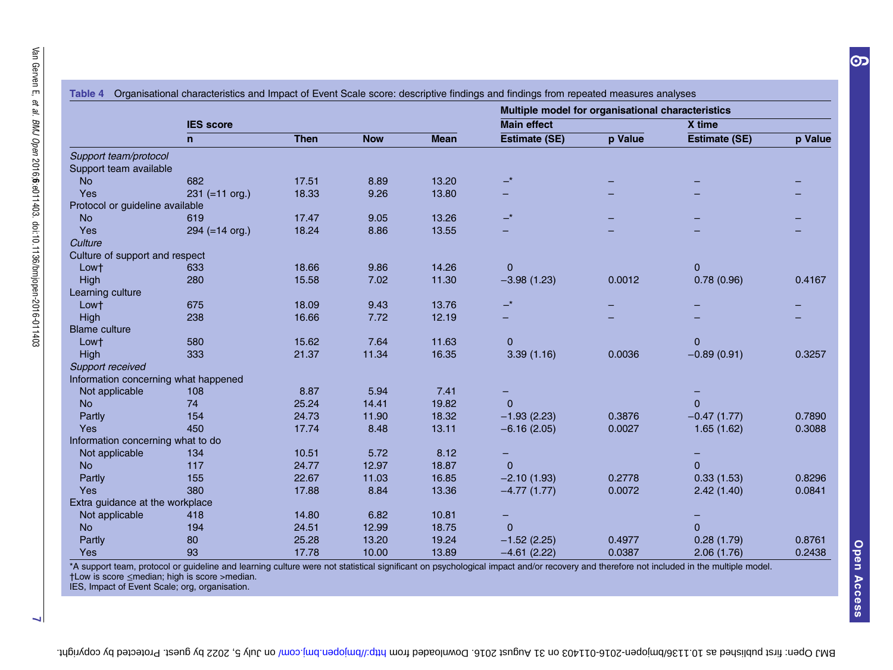|                                      |                           |             |            |             | Multiple model for organisational characteristics |         |                      |         |  |
|--------------------------------------|---------------------------|-------------|------------|-------------|---------------------------------------------------|---------|----------------------|---------|--|
|                                      | <b>IES</b> score          |             |            |             | <b>Main effect</b>                                |         | X time               |         |  |
|                                      | $\mathsf{n}$              | <b>Then</b> | <b>Now</b> | <b>Mean</b> | <b>Estimate (SE)</b>                              | p Value | <b>Estimate (SE)</b> | p Value |  |
| Support team/protocol                |                           |             |            |             |                                                   |         |                      |         |  |
| Support team available               |                           |             |            |             |                                                   |         |                      |         |  |
| <b>No</b>                            | 682                       | 17.51       | 8.89       | 13.20       | $-^*$                                             |         |                      |         |  |
| Yes                                  | $231 (=11$ org.)          | 18.33       | 9.26       | 13.80       |                                                   |         |                      |         |  |
| Protocol or guideline available      |                           |             |            |             |                                                   |         |                      |         |  |
| <b>No</b>                            | 619                       | 17.47       | 9.05       | 13.26       | $-^*$                                             |         |                      |         |  |
| Yes                                  | 294 $(=14 \text{ or } g)$ | 18.24       | 8.86       | 13.55       |                                                   |         |                      |         |  |
| Culture                              |                           |             |            |             |                                                   |         |                      |         |  |
| Culture of support and respect       |                           |             |            |             |                                                   |         |                      |         |  |
| Low <sub>t</sub>                     | 633                       | 18.66       | 9.86       | 14.26       | $\mathbf 0$                                       |         | $\mathbf{0}$         |         |  |
| High                                 | 280                       | 15.58       | 7.02       | 11.30       | $-3.98(1.23)$                                     | 0.0012  | 0.78(0.96)           | 0.4167  |  |
| Learning culture                     |                           |             |            |             |                                                   |         |                      |         |  |
| Low <sub>t</sub>                     | 675                       | 18.09       | 9.43       | 13.76       | $-^*$                                             |         |                      |         |  |
| High                                 | 238                       | 16.66       | 7.72       | 12.19       |                                                   |         |                      |         |  |
| <b>Blame culture</b>                 |                           |             |            |             |                                                   |         |                      |         |  |
| Low <sub>t</sub>                     | 580                       | 15.62       | 7.64       | 11.63       | 0                                                 |         | $\Omega$             |         |  |
| High                                 | 333                       | 21.37       | 11.34      | 16.35       | 3.39(1.16)                                        | 0.0036  | $-0.89(0.91)$        | 0.3257  |  |
| Support received                     |                           |             |            |             |                                                   |         |                      |         |  |
| Information concerning what happened |                           |             |            |             |                                                   |         |                      |         |  |
| Not applicable                       | 108                       | 8.87        | 5.94       | 7.41        |                                                   |         |                      |         |  |
| <b>No</b>                            | 74                        | 25.24       | 14.41      | 19.82       | $\overline{0}$                                    |         | $\Omega$             |         |  |
| Partly                               | 154                       | 24.73       | 11.90      | 18.32       | $-1.93(2.23)$                                     | 0.3876  | $-0.47(1.77)$        | 0.7890  |  |
| Yes                                  | 450                       | 17.74       | 8.48       | 13.11       | $-6.16(2.05)$                                     | 0.0027  | 1.65(1.62)           | 0.3088  |  |
| Information concerning what to do    |                           |             |            |             |                                                   |         |                      |         |  |
| Not applicable                       | 134                       | 10.51       | 5.72       | 8.12        |                                                   |         |                      |         |  |
| <b>No</b>                            | 117                       | 24.77       | 12.97      | 18.87       | $\overline{0}$                                    |         | $\overline{0}$       |         |  |
| Partly                               | 155                       | 22.67       | 11.03      | 16.85       | $-2.10(1.93)$                                     | 0.2778  | 0.33(1.53)           | 0.8296  |  |
| Yes                                  | 380                       | 17.88       | 8.84       | 13.36       | $-4.77(1.77)$                                     | 0.0072  | 2.42(1.40)           | 0.0841  |  |
| Extra guidance at the workplace      |                           |             |            |             |                                                   |         |                      |         |  |
| Not applicable                       | 418                       | 14.80       | 6.82       | 10.81       | -                                                 |         |                      |         |  |
| <b>No</b>                            | 194                       | 24.51       | 12.99      | 18.75       | $\overline{0}$                                    |         | $\Omega$             |         |  |
| Partly                               | 80                        | 25.28       | 13.20      | 19.24       | $-1.52(2.25)$                                     | 0.4977  | 0.28(1.79)           | 0.8761  |  |
| <b>Yes</b>                           | 93                        | 17.78       | 10.00      | 13.89       | $-4.61(2.22)$                                     | 0.0387  | 2.06(1.76)           | 0.2438  |  |

<span id="page-6-0"></span>

\*A support team, protocol or guideline and learning culture were not statistical significant on psychological impact and/or recovery and therefore not included in the multiple model. †Low is score ≤median; high is score >median.

IES, Impact of Event Scale; org, organisation.

 $\overline{\phantom{0}}$ 

 $\overline{\mathbf{O}}$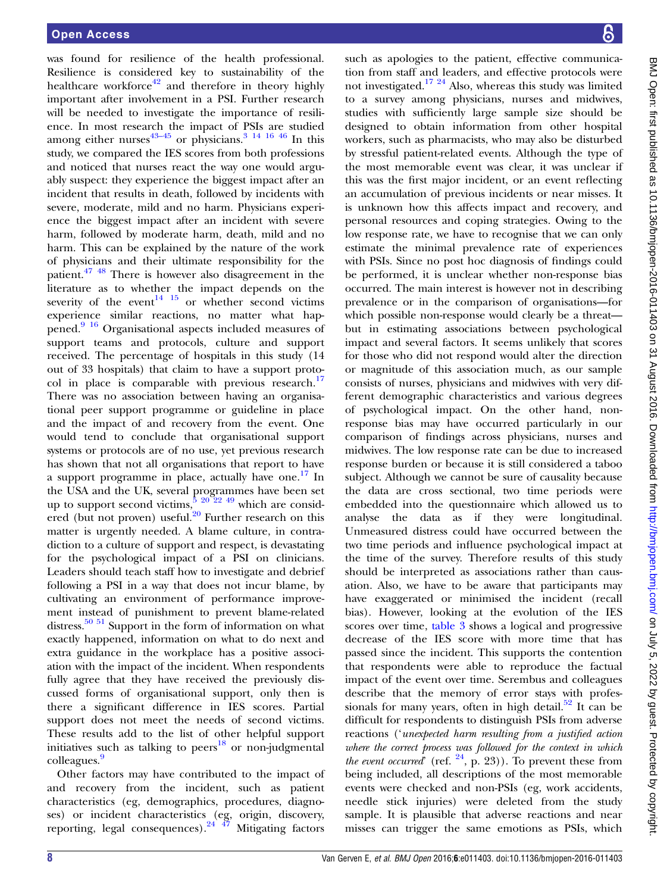was found for resilience of the health professional. Resilience is considered key to sustainability of the healthcare workforce<sup> $42$ </sup> and therefore in theory highly important after involvement in a PSI. Further research will be needed to investigate the importance of resilience. In most research the impact of PSIs are studied among either nurses $43-45$  $43-45$  or physicians.<sup>3</sup> <sup>14</sup> <sup>16</sup> <sup>46</sup> In this study, we compared the IES scores from both professions and noticed that nurses react the way one would arguably suspect: they experience the biggest impact after an incident that results in death, followed by incidents with severe, moderate, mild and no harm. Physicians experience the biggest impact after an incident with severe harm, followed by moderate harm, death, mild and no harm. This can be explained by the nature of the work of physicians and their ultimate responsibility for the patient.[47 48](#page-9-0) There is however also disagreement in the literature as to whether the impact depends on the severity of the event<sup>[14 15](#page-8-0)</sup> or whether second victims experience similar reactions, no matter what happened.[9 16](#page-8-0) Organisational aspects included measures of support teams and protocols, culture and support received. The percentage of hospitals in this study (14 out of 33 hospitals) that claim to have a support protocol in place is comparable with previous research. $^{17}$  $^{17}$  $^{17}$ There was no association between having an organisational peer support programme or guideline in place and the impact of and recovery from the event. One would tend to conclude that organisational support systems or protocols are of no use, yet previous research has shown that not all organisations that report to have a support programme in place, actually have one. $17$  In the USA and the UK, several programmes have been set up to support second victims,  $5^{520^{2249}}$  which are considered (but not proven) useful. $20$  Further research on this matter is urgently needed. A blame culture, in contradiction to a culture of support and respect, is devastating for the psychological impact of a PSI on clinicians. Leaders should teach staff how to investigate and debrief following a PSI in a way that does not incur blame, by cultivating an environment of performance improvement instead of punishment to prevent blame-related distress.<sup>50 51</sup> Support in the form of information on what exactly happened, information on what to do next and extra guidance in the workplace has a positive association with the impact of the incident. When respondents fully agree that they have received the previously discussed forms of organisational support, only then is there a significant difference in IES scores. Partial support does not meet the needs of second victims. These results add to the list of other helpful support initiatives such as talking to peers<sup>[18](#page-8-0)</sup> or non-judgmental colleagues.<sup>[9](#page-8-0)</sup>

Other factors may have contributed to the impact of and recovery from the incident, such as patient characteristics (eg, demographics, procedures, diagnoses) or incident characteristics (eg, origin, discovery, reporting, legal consequences).<sup>[24](#page-8-0) [47](#page-9-0)</sup> Mitigating factors

such as apologies to the patient, effective communication from staff and leaders, and effective protocols were not investigated.[17 24](#page-8-0) Also, whereas this study was limited to a survey among physicians, nurses and midwives, studies with sufficiently large sample size should be designed to obtain information from other hospital workers, such as pharmacists, who may also be disturbed by stressful patient-related events. Although the type of the most memorable event was clear, it was unclear if this was the first major incident, or an event reflecting an accumulation of previous incidents or near misses. It is unknown how this affects impact and recovery, and personal resources and coping strategies. Owing to the low response rate, we have to recognise that we can only estimate the minimal prevalence rate of experiences with PSIs. Since no post hoc diagnosis of findings could be performed, it is unclear whether non-response bias occurred. The main interest is however not in describing prevalence or in the comparison of organisations—for which possible non-response would clearly be a threat but in estimating associations between psychological impact and several factors. It seems unlikely that scores for those who did not respond would alter the direction or magnitude of this association much, as our sample consists of nurses, physicians and midwives with very different demographic characteristics and various degrees of psychological impact. On the other hand, nonresponse bias may have occurred particularly in our comparison of findings across physicians, nurses and midwives. The low response rate can be due to increased response burden or because it is still considered a taboo subject. Although we cannot be sure of causality because the data are cross sectional, two time periods were embedded into the questionnaire which allowed us to analyse the data as if they were longitudinal. Unmeasured distress could have occurred between the two time periods and influence psychological impact at the time of the survey. Therefore results of this study should be interpreted as associations rather than causation. Also, we have to be aware that participants may have exaggerated or minimised the incident (recall bias). However, looking at the evolution of the IES scores over time, [table 3](#page-4-0) shows a logical and progressive decrease of the IES score with more time that has passed since the incident. This supports the contention that respondents were able to reproduce the factual impact of the event over time. Serembus and colleagues describe that the memory of error stays with profes-sionals for many years, often in high detail.<sup>[52](#page-9-0)</sup> It can be difficult for respondents to distinguish PSIs from adverse reactions ('unexpected harm resulting from a justified action where the correct process was followed for the context in which the event occurred' (ref.  $24$ , p. 23)). To prevent these from being included, all descriptions of the most memorable events were checked and non-PSIs (eg, work accidents, needle stick injuries) were deleted from the study sample. It is plausible that adverse reactions and near misses can trigger the same emotions as PSIs, which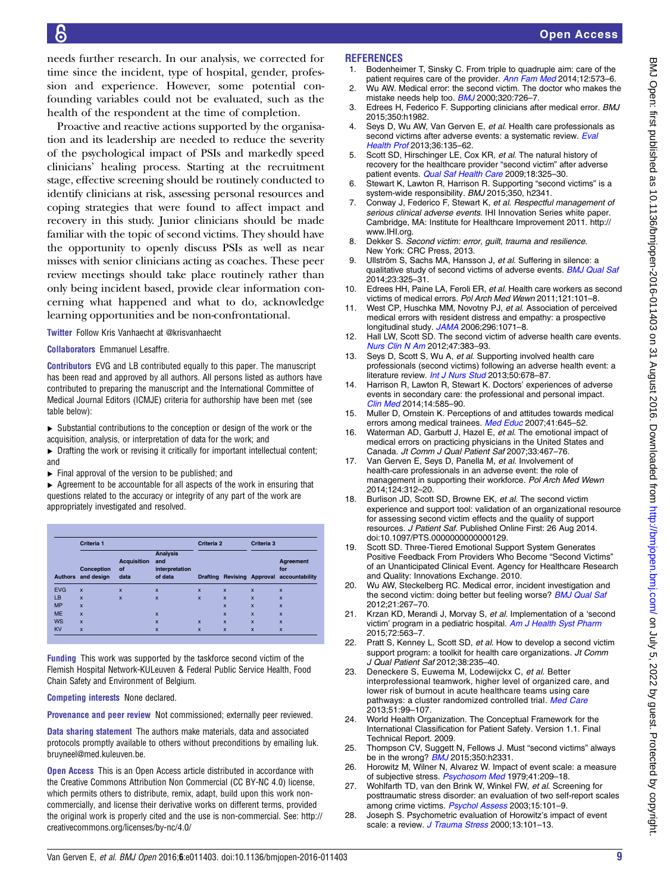<span id="page-8-0"></span>needs further research. In our analysis, we corrected for time since the incident, type of hospital, gender, profession and experience. However, some potential confounding variables could not be evaluated, such as the health of the respondent at the time of completion.

Proactive and reactive actions supported by the organisation and its leadership are needed to reduce the severity of the psychological impact of PSIs and markedly speed clinicians' healing process. Starting at the recruitment stage, effective screening should be routinely conducted to identify clinicians at risk, assessing personal resources and coping strategies that were found to affect impact and recovery in this study. Junior clinicians should be made familiar with the topic of second victims. They should have the opportunity to openly discuss PSIs as well as near misses with senior clinicians acting as coaches. These peer review meetings should take place routinely rather than only being incident based, provide clear information concerning what happened and what to do, acknowledge learning opportunities and be non-confrontational.

#### Twitter Follow Kris Vanhaecht at [@krisvanhaecht](http://twitter.com/krisvanhaecht)

#### Collaborators Emmanuel Lesaffre.

Contributors EVG and LB contributed equally to this paper. The manuscript has been read and approved by all authors. All persons listed as authors have contributed to preparing the manuscript and the International Committee of Medical Journal Editors (ICMJE) criteria for authorship have been met (see table below):

- ▸ Substantial contributions to the conception or design of the work or the acquisition, analysis, or interpretation of data for the work; and
- ▸ Drafting the work or revising it critically for important intellectual content; and
- $\blacktriangleright$  Final approval of the version to be published; and
- ▸ Agreement to be accountable for all aspects of the work in ensuring that questions related to the accuracy or integrity of any part of the work are appropriately investigated and resolved.

|            | Criteria 1                              |                                  |                                                     | Criteria 2                |                         | Criteria <sub>3</sub>     |                                                                      |  |
|------------|-----------------------------------------|----------------------------------|-----------------------------------------------------|---------------------------|-------------------------|---------------------------|----------------------------------------------------------------------|--|
|            | <b>Conception</b><br>Authors and design | <b>Acquisition</b><br>of<br>data | <b>Analysis</b><br>and<br>interpretation<br>of data |                           |                         |                           | <b>Agreement</b><br>for<br>Drafting Revising Approval accountability |  |
| <b>EVG</b> | $\overline{\mathbf{x}}$                 | $\boldsymbol{\mathsf{x}}$        | $\boldsymbol{\mathsf{x}}$                           | $\boldsymbol{\mathsf{x}}$ | $\mathbf{x}$            | $\boldsymbol{\mathsf{x}}$ | $\boldsymbol{\mathsf{x}}$                                            |  |
| LB         | $\overline{\mathbf{x}}$                 | $\boldsymbol{\mathsf{x}}$        | $\boldsymbol{\mathsf{x}}$                           | $\boldsymbol{\mathsf{x}}$ | $\mathbf{x}$            | $\boldsymbol{x}$          | $\boldsymbol{\mathsf{x}}$                                            |  |
| <b>MP</b>  | $\overline{\mathbf{x}}$                 |                                  |                                                     |                           | $\overline{\mathbf{x}}$ | $\boldsymbol{x}$          | $\boldsymbol{\mathsf{x}}$                                            |  |
| <b>ME</b>  | $\mathbf{x}$                            |                                  | $\boldsymbol{\mathsf{x}}$                           |                           | $\mathbf{x}$            | $\mathbf{x}$              | $\boldsymbol{\mathsf{x}}$                                            |  |
| <b>WS</b>  | $\overline{\mathbf{x}}$                 |                                  | $\boldsymbol{\mathsf{x}}$                           | $\mathbf{x}$              | $\mathbf{x}$            | $\boldsymbol{x}$          | $\boldsymbol{\mathsf{x}}$                                            |  |
| KV         | $\overline{\mathbf{x}}$                 |                                  | $\boldsymbol{\mathsf{x}}$                           | $\boldsymbol{x}$          | $\boldsymbol{x}$        | $\boldsymbol{x}$          | $\boldsymbol{\mathsf{x}}$                                            |  |

Funding This work was supported by the taskforce second victim of the Flemish Hospital Network-KULeuven & Federal Public Service Health, Food Chain Safety and Environment of Belgium.

#### Competing interests None declared.

Provenance and peer review Not commissioned; externally peer reviewed.

Data sharing statement The authors make materials, data and associated protocols promptly available to others without preconditions by emailing luk. bruyneel@med.kuleuven.be.

**Open Access** This is an Open Access article distributed in accordance with the Creative Commons Attribution Non Commercial (CC BY-NC 4.0) license, which permits others to distribute, remix, adapt, build upon this work noncommercially, and license their derivative works on different terms, provided the original work is properly cited and the use is non-commercial. See: [http://](http://creativecommons.org/licenses/by-nc/4.0/) [creativecommons.org/licenses/by-nc/4.0/](http://creativecommons.org/licenses/by-nc/4.0/)

#### REFERENCES

- 1. Bodenheimer T, Sinsky C. From triple to quadruple aim: care of the patient requires care of the provider. [Ann Fam Med](http://dx.doi.org/10.1370/afm.1713) 2014;12:573-6.
- 2. Wu AW. Medical error: the second victim. The doctor who makes the mistake needs help too. **[BMJ](http://dx.doi.org/10.1136/bmj.320.7237.726)** 2000;320:726-7.

Open Access

- 3. Edrees H, Federico F. Supporting clinicians after medical error. BMJ 2015;350:h1982.
- 4. Seys D, Wu AW, Van Gerven E, et al. Health care professionals as second victims after adverse events: a systematic review. [Eval](http://dx.doi.org/10.1177/0163278712458918) [Health Prof](http://dx.doi.org/10.1177/0163278712458918) 2013;36:135–62.
- 5. Scott SD, Hirschinger LE, Cox KR, et al. The natural history of recovery for the healthcare provider "second victim" after adverse patient events. [Qual Saf Health Care](http://dx.doi.org/10.1136/qshc.2009.032870) 2009;18:325-30.
- Stewart K, Lawton R, Harrison R. Supporting "second victims" is a system-wide responsibility. BMJ 2015;350, h2341.
- 7. Conway J, Federico F, Stewart K, et al. Respectful management of serious clinical adverse events. IHI Innovation Series white paper. Cambridge, MA: Institute for Healthcare Improvement 2011. [http://](http://www.IHI.org) [www.IHI.org.](http://www.IHI.org)
- 8. Dekker S. Second victim: error, guilt, trauma and resilience. New York: CRC Press, 2013.
- 9. Ullström S, Sachs MA, Hansson J, et al. Suffering in silence: a qualitative study of second victims of adverse events. **[BMJ Qual Saf](http://dx.doi.org/10.1136/bmjqs-2013-002035)** 2014;23:325–31.
- 10. Edrees HH, Paine LA, Feroli ER, et al. Health care workers as second victims of medical errors. Pol Arch Med Wewn 2011;121:101–8.
- 11. West CP, Huschka MM, Novotny PJ, et al. Association of perceived medical errors with resident distress and empathy: a prospective longitudinal study. [JAMA](http://dx.doi.org/10.1001/jama.296.9.1071) 2006;296:1071-8.
- 12. Hall LW, Scott SD. The second victim of adverse health care events. [Nurs Clin N Am](http://dx.doi.org/10.1016/j.cnur.2012.05.008) 2012;47:383–93.
- 13. Seys D, Scott S, Wu A, et al. Supporting involved health care professionals (second victims) following an adverse health event: a literature review. [Int J Nurs Stud](http://dx.doi.org/10.1016/j.ijnurstu.2012.07.006) 2013;50:678-87.
- 14. Harrison R, Lawton R, Stewart K. Doctors' experiences of adverse events in secondary care: the professional and personal impact. [Clin Med](http://dx.doi.org/10.7861/clinmedicine.14-6-585) 2014;14:585–90.
- 15. Muller D, Ornstein K. Perceptions of and attitudes towards medical errors among medical trainees. [Med Educ](http://dx.doi.org/10.1111/j.1365-2923.2007.02784.x) 2007;41:645-52.
- 16. Waterman AD, Garbutt J, Hazel E, et al. The emotional impact of medical errors on practicing physicians in the United States and Canada. Jt Comm J Qual Patient Saf 2007;33:467–76.
- 17. Van Gerven E, Seys D, Panella M, et al. Involvement of health-care professionals in an adverse event: the role of management in supporting their workforce. Pol Arch Med Wewn 2014;124:312–20.
- 18. Burlison JD, Scott SD, Browne EK, et al. The second victim experience and support tool: validation of an organizational resource for assessing second victim effects and the quality of support resources. J Patient Saf. Published Online First: 26 Aug 2014. [doi:10.1097/PTS.0000000000000129.](http://dx.doi.org/10.1097/PTS.0000000000000129)
- 19. Scott SD. Three-Tiered Emotional Support System Generates Positive Feedback From Providers Who Become "Second Victims" of an Unanticipated Clinical Event. Agency for Healthcare Research and Quality: Innovations Exchange. 2010.
- 20. Wu AW, Steckelberg RC. Medical error, incident investigation and the second victim: doing better but feeling worse? [BMJ Qual Saf](http://dx.doi.org/10.1136/bmjqs-2011-000605) 2012;21:267–70.
- 21. Krzan KD, Merandi J, Morvay S, et al. Implementation of a 'second victim' program in a pediatric hospital. [Am J Health Syst Pharm](http://dx.doi.org/10.2146/ajhp140650) 2015;72:563–7.
- 22. Pratt S, Kenney L, Scott SD, et al. How to develop a second victim support program: a toolkit for health care organizations. Jt Comm J Qual Patient Saf 2012;38:235–40.
- 23. Deneckere S, Euwema M, Lodewijckx C, et al. Better interprofessional teamwork, higher level of organized care, and lower risk of burnout in acute healthcare teams using care pathways: a cluster randomized controlled trial. [Med Care](http://dx.doi.org/10.1097/MLR.0b013e3182763312) 2013;51:99–107.
- 24. World Health Organization. The Conceptual Framework for the International Classification for Patient Safety. Version 1.1. Final Technical Report. 2009.
- 25. Thompson CV, Suggett N, Fellows J. Must "second victims" always be in the wrong? **[BMJ](http://dx.doi.org/10.1136/bmj.h2331)** 2015;350:h2331.
- 26. Horowitz M, Wilner N, Alvarez W. Impact of event scale: a measure of subjective stress. [Psychosom Med](http://dx.doi.org/10.1097/00006842-197905000-00004) 1979;41:209-18.
- 27. Wohlfarth TD, van den Brink W, Winkel FW, et al. Screening for posttraumatic stress disorder: an evaluation of two self-report scales among crime victims. [Psychol Assess](http://dx.doi.org/10.1037/1040-3590.15.1.101) 2003;15:101-9
- 28. Joseph S. Psychometric evaluation of Horowitz's impact of event scale: a review. [J Trauma Stress](http://dx.doi.org/10.1023/A:1007777032063) 2000;13:101-13.